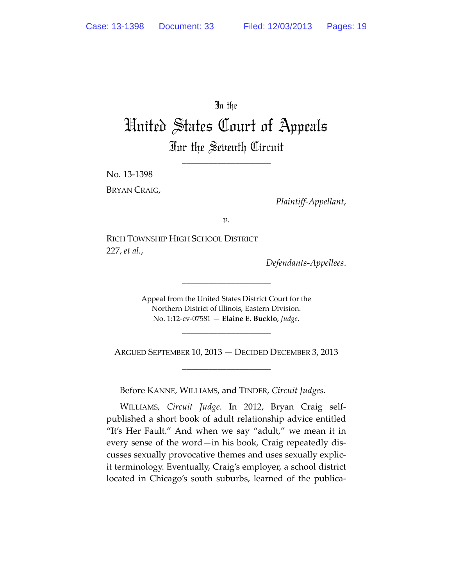## In the

# United States Court of Appeals For the Seventh Circuit

\_\_\_\_\_\_\_\_\_\_\_\_\_\_\_\_\_\_\_\_

No. 13‐1398

BRYAN CRAIG,

*Plaintiff‐Appellant*,

*v.*

RICH TOWNSHIP HIGH SCHOOL DISTRICT 227, *et al.*,

*Defendants‐Appellees*.

Appeal from the United States District Court for the Northern District of Illinois, Eastern Division. No. 1:12‐cv‐07581 — **Elaine E. Bucklo**, *Judge*.

\_\_\_\_\_\_\_\_\_\_\_\_\_\_\_\_\_\_\_\_

ARGUED SEPTEMBER 10, 2013 — DECIDED DECEMBER 3, 2013 \_\_\_\_\_\_\_\_\_\_\_\_\_\_\_\_\_\_\_\_

\_\_\_\_\_\_\_\_\_\_\_\_\_\_\_\_\_\_\_\_

Before KANNE, WILLIAMS, and TINDER, *Circuit Judges*.

WILLIAMS, *Circuit Judge*. In 2012, Bryan Craig self‐ published a short book of adult relationship advice entitled "It's Her Fault." And when we say "adult," we mean it in every sense of the word—in his book, Craig repeatedly dis‐ cusses sexually provocative themes and uses sexually explic‐ it terminology. Eventually, Craig's employer, a school district located in Chicago's south suburbs, learned of the publica-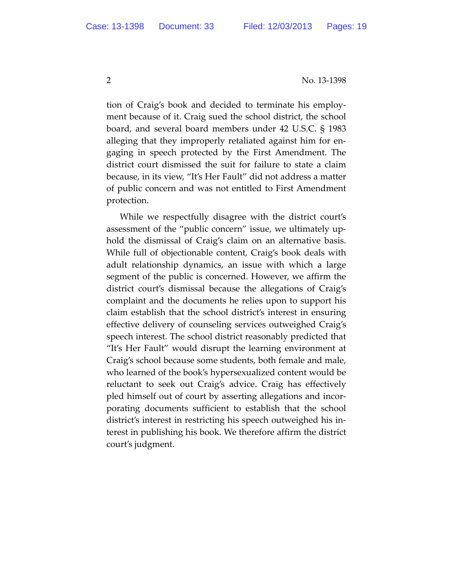tion of Craig's book and decided to terminate his employ‐ ment because of it. Craig sued the school district, the school board, and several board members under 42 U.S.C. § 1983 alleging that they improperly retaliated against him for en‐ gaging in speech protected by the First Amendment. The district court dismissed the suit for failure to state a claim because, in its view, "It's Her Fault" did not address a matter of public concern and was not entitled to First Amendment protection.

While we respectfully disagree with the district court's assessment of the "public concern" issue, we ultimately up‐ hold the dismissal of Craig's claim on an alternative basis. While full of objectionable content, Craig's book deals with adult relationship dynamics, an issue with which a large segment of the public is concerned. However, we affirm the district court's dismissal because the allegations of Craig's complaint and the documents he relies upon to support his claim establish that the school district's interest in ensuring effective delivery of counseling services outweighed Craig's speech interest. The school district reasonably predicted that "It's Her Fault" would disrupt the learning environment at Craig's school because some students, both female and male, who learned of the book's hypersexualized content would be reluctant to seek out Craig's advice. Craig has effectively pled himself out of court by asserting allegations and incor‐ porating documents sufficient to establish that the school district's interest in restricting his speech outweighed his in‐ terest in publishing his book. We therefore affirm the district court's judgment.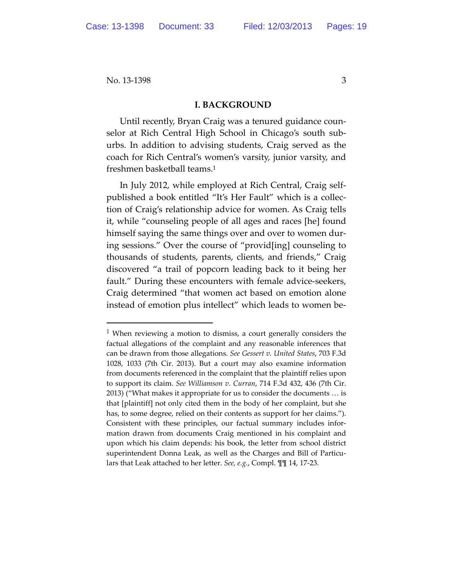#### **I. BACKGROUND**

Until recently, Bryan Craig was a tenured guidance coun‐ selor at Rich Central High School in Chicago's south sub‐ urbs. In addition to advising students, Craig served as the coach for Rich Central's women's varsity, junior varsity, and freshmen basketball teams.1

In July 2012, while employed at Rich Central, Craig self‐ published a book entitled "It's Her Fault" which is a collec‐ tion of Craig's relationship advice for women. As Craig tells it, while "counseling people of all ages and races [he] found himself saying the same things over and over to women dur‐ ing sessions." Over the course of "provid[ing] counseling to thousands of students, parents, clients, and friends," Craig discovered "a trail of popcorn leading back to it being her fault." During these encounters with female advice-seekers, Craig determined "that women act based on emotion alone instead of emotion plus intellect" which leads to women be‐

<sup>&</sup>lt;sup>1</sup> When reviewing a motion to dismiss, a court generally considers the factual allegations of the complaint and any reasonable inferences that can be drawn from those allegations. *See Gessert v. United States*, 703 F.3d 1028, 1033 (7th Cir. 2013). But a court may also examine information from documents referenced in the complaint that the plaintiff relies upon to support its claim. *See Williamson v. Curran*, 714 F.3d 432, 436 (7th Cir. 2013) ("What makes it appropriate for us to consider the documents … is that [plaintiff] not only cited them in the body of her complaint, but she has, to some degree, relied on their contents as support for her claims."). Consistent with these principles, our factual summary includes infor‐ mation drawn from documents Craig mentioned in his complaint and upon which his claim depends: his book, the letter from school district superintendent Donna Leak, as well as the Charges and Bill of Particulars that Leak attached to her letter. *See, e.g.*, Compl. ¶¶ 14, 17‐23.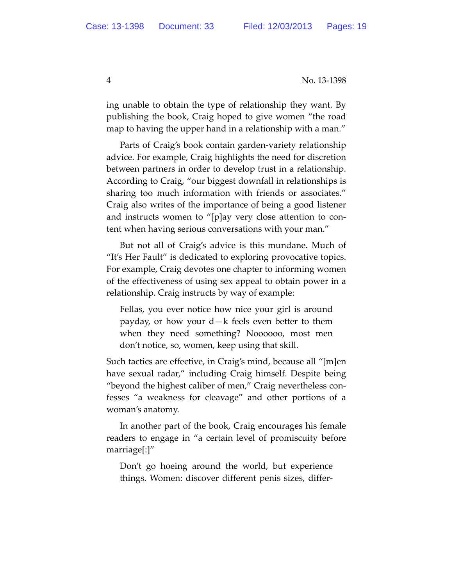ing unable to obtain the type of relationship they want. By publishing the book, Craig hoped to give women "the road map to having the upper hand in a relationship with a man."

Parts of Craig's book contain garden‐variety relationship advice. For example, Craig highlights the need for discretion between partners in order to develop trust in a relationship. According to Craig, "our biggest downfall in relationships is sharing too much information with friends or associates." Craig also writes of the importance of being a good listener and instructs women to "[p]ay very close attention to con‐ tent when having serious conversations with your man."

But not all of Craig's advice is this mundane. Much of "It's Her Fault" is dedicated to exploring provocative topics. For example, Craig devotes one chapter to informing women of the effectiveness of using sex appeal to obtain power in a relationship. Craig instructs by way of example:

Fellas, you ever notice how nice your girl is around payday, or how your d—k feels even better to them when they need something? Noooooo, most men don't notice, so, women, keep using that skill.

Such tactics are effective, in Craig's mind, because all "[m]en have sexual radar," including Craig himself. Despite being "beyond the highest caliber of men," Craig nevertheless con‐ fesses "a weakness for cleavage" and other portions of a woman's anatomy.

In another part of the book, Craig encourages his female readers to engage in "a certain level of promiscuity before marriage[:]"

Don't go hoeing around the world, but experience things. Women: discover different penis sizes, differ‐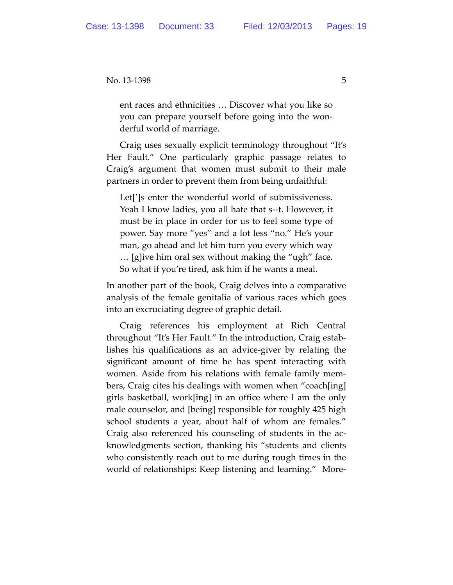ent races and ethnicities … Discover what you like so you can prepare yourself before going into the won‐ derful world of marriage.

Craig uses sexually explicit terminology throughout "It's Her Fault." One particularly graphic passage relates to Craig's argument that women must submit to their male partners in order to prevent them from being unfaithful:

Let[']s enter the wonderful world of submissiveness. Yeah I know ladies, you all hate that s‐‐t. However, it must be in place in order for us to feel some type of power. Say more "yes" and a lot less "no." He's your man, go ahead and let him turn you every which way … [g]ive him oral sex without making the "ugh" face. So what if you're tired, ask him if he wants a meal.

In another part of the book, Craig delves into a comparative analysis of the female genitalia of various races which goes into an excruciating degree of graphic detail.

Craig references his employment at Rich Central throughout "It's Her Fault." In the introduction, Craig estab‐ lishes his qualifications as an advice‐giver by relating the significant amount of time he has spent interacting with women. Aside from his relations with female family mem‐ bers, Craig cites his dealings with women when "coach[ing] girls basketball, work[ing] in an office where I am the only male counselor, and [being] responsible for roughly 425 high school students a year, about half of whom are females." Craig also referenced his counseling of students in the ac‐ knowledgments section, thanking his "students and clients who consistently reach out to me during rough times in the world of relationships: Keep listening and learning." More‐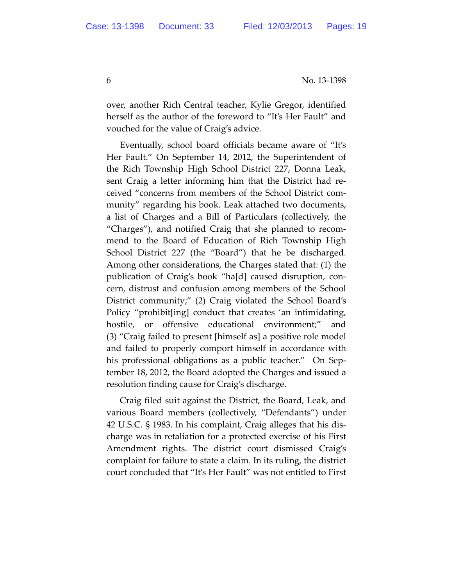over, another Rich Central teacher, Kylie Gregor, identified herself as the author of the foreword to "It's Her Fault" and vouched for the value of Craig's advice.

Eventually, school board officials became aware of "It's Her Fault." On September 14, 2012, the Superintendent of the Rich Township High School District 227, Donna Leak, sent Craig a letter informing him that the District had re‐ ceived "concerns from members of the School District com‐ munity" regarding his book. Leak attached two documents, a list of Charges and a Bill of Particulars (collectively, the "Charges"), and notified Craig that she planned to recom‐ mend to the Board of Education of Rich Township High School District 227 (the "Board") that he be discharged. Among other considerations, the Charges stated that: (1) the publication of Craig's book "ha[d] caused disruption, con‐ cern, distrust and confusion among members of the School District community;" (2) Craig violated the School Board's Policy "prohibit[ing] conduct that creates 'an intimidating, hostile, or offensive educational environment;" and (3) "Craig failed to present [himself as] a positive role model and failed to properly comport himself in accordance with his professional obligations as a public teacher." On September 18, 2012, the Board adopted the Charges and issued a resolution finding cause for Craig's discharge.

Craig filed suit against the District, the Board, Leak, and various Board members (collectively, "Defendants") under 42 U.S.C. § 1983. In his complaint, Craig alleges that his dis‐ charge was in retaliation for a protected exercise of his First Amendment rights. The district court dismissed Craig's complaint for failure to state a claim. In its ruling, the district court concluded that "It's Her Fault" was not entitled to First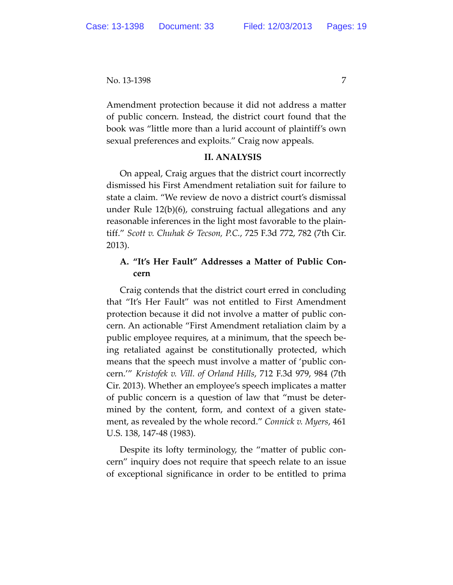Amendment protection because it did not address a matter of public concern. Instead, the district court found that the book was "little more than a lurid account of plaintiff's own sexual preferences and exploits." Craig now appeals.

#### **II. ANALYSIS**

On appeal, Craig argues that the district court incorrectly dismissed his First Amendment retaliation suit for failure to state a claim. "We review de novo a district court's dismissal under Rule 12(b)(6), construing factual allegations and any reasonable inferences in the light most favorable to the plain‐ tiff." *Scott v. Chuhak & Tecson, P.C.*, 725 F.3d 772, 782 (7th Cir. 2013).

## **A. "It's Her Fault" Addresses a Matter of Public Con‐ cern**

Craig contends that the district court erred in concluding that "It's Her Fault" was not entitled to First Amendment protection because it did not involve a matter of public con‐ cern. An actionable "First Amendment retaliation claim by a public employee requires, at a minimum, that the speech be‐ ing retaliated against be constitutionally protected, which means that the speech must involve a matter of 'public con‐ cern.'" *Kristofek v. Vill. of Orland Hills*, 712 F.3d 979, 984 (7th Cir. 2013). Whether an employee's speech implicates a matter of public concern is a question of law that "must be deter‐ mined by the content, form, and context of a given state‐ ment, as revealed by the whole record." *Connick v. Myers*, 461 U.S. 138, 147‐48 (1983).

Despite its lofty terminology, the "matter of public concern" inquiry does not require that speech relate to an issue of exceptional significance in order to be entitled to prima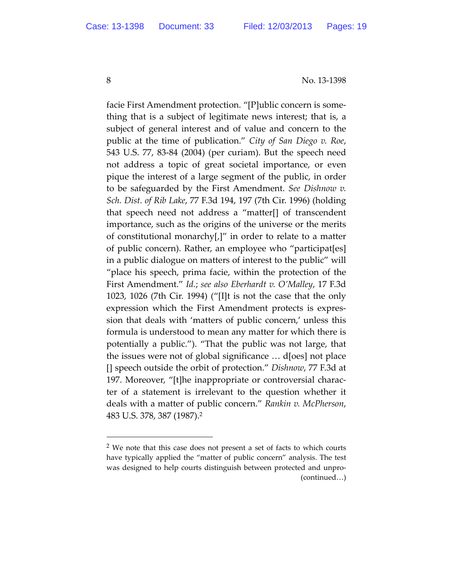8 No. 13-1398

facie First Amendment protection. "[P]ublic concern is some‐ thing that is a subject of legitimate news interest; that is, a subject of general interest and of value and concern to the public at the time of publication." *City of San Diego v. Roe*, 543 U.S. 77, 83‐84 (2004) (per curiam). But the speech need not address a topic of great societal importance, or even pique the interest of a large segment of the public, in order to be safeguarded by the First Amendment. *See Dishnow v. Sch. Dist. of Rib Lake*, 77 F.3d 194, 197 (7th Cir. 1996) (holding that speech need not address a "matter[] of transcendent importance, such as the origins of the universe or the merits of constitutional monarchy[,]" in order to relate to a matter of public concern). Rather, an employee who "participat[es] in a public dialogue on matters of interest to the public" will "place his speech, prima facie, within the protection of the First Amendment." *Id.*; *see also Eberhardt v. O'Malley*, 17 F.3d 1023, 1026 (7th Cir. 1994) ("[I]t is not the case that the only expression which the First Amendment protects is expres‐ sion that deals with 'matters of public concern,' unless this formula is understood to mean any matter for which there is potentially a public."). "That the public was not large, that the issues were not of global significance … d[oes] not place [] speech outside the orbit of protection." *Dishnow*, 77 F.3d at 197. Moreover, "[t]he inappropriate or controversial charac‐ ter of a statement is irrelevant to the question whether it deals with a matter of public concern." *Rankin v. McPherson*, 483 U.S. 378, 387 (1987).2

<sup>&</sup>lt;sup>2</sup> We note that this case does not present a set of facts to which courts have typically applied the "matter of public concern" analysis. The test was designed to help courts distinguish between protected and unpro‐ (continued…)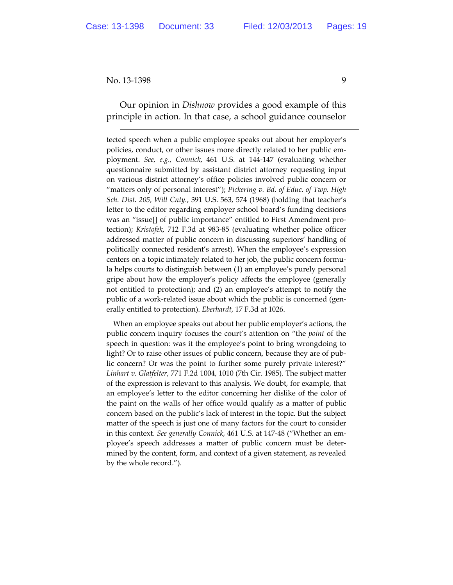Our opinion in *Dishnow* provides a good example of this principle in action. In that case, a school guidance counselor

tected speech when a public employee speaks out about her employer's policies, conduct, or other issues more directly related to her public employment. *See, e.g., Connick*, 461 U.S. at 144‐147 (evaluating whether questionnaire submitted by assistant district attorney requesting input on various district attorney's office policies involved public concern or "matters only of personal interest"); *Pickering v. Bd. of Educ. of Twp. High Sch. Dist. 205, Will Cnty.*, 391 U.S. 563, 574 (1968) (holding that teacher's letter to the editor regarding employer school board's funding decisions was an "issue[] of public importance" entitled to First Amendment protection); *Kristofek*, 712 F.3d at 983‐85 (evaluating whether police officer addressed matter of public concern in discussing superiors' handling of politically connected resident's arrest). When the employee's expression centers on a topic intimately related to her job, the public concern formu‐ la helps courts to distinguish between (1) an employee's purely personal gripe about how the employer's policy affects the employee (generally not entitled to protection); and (2) an employee's attempt to notify the public of a work-related issue about which the public is concerned (generally entitled to protection). *Eberhardt*, 17 F.3d at 1026.

When an employee speaks out about her public employer's actions, the public concern inquiry focuses the court's attention on "the *point* of the speech in question: was it the employee's point to bring wrongdoing to light? Or to raise other issues of public concern, because they are of public concern? Or was the point to further some purely private interest?" *Linhart v. Glatfelter*, 771 F.2d 1004, 1010 (7th Cir. 1985). The subject matter of the expression is relevant to this analysis. We doubt, for example, that an employee's letter to the editor concerning her dislike of the color of the paint on the walls of her office would qualify as a matter of public concern based on the public's lack of interest in the topic. But the subject matter of the speech is just one of many factors for the court to consider in this context. *See generally Connick*, 461 U.S. at 147‐48 ("Whether an em‐ ployee's speech addresses a matter of public concern must be deter‐ mined by the content, form, and context of a given statement, as revealed by the whole record.").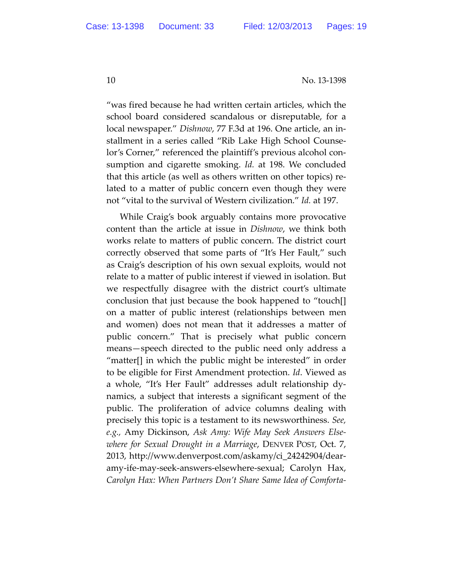"was fired because he had written certain articles, which the school board considered scandalous or disreputable, for a local newspaper." *Dishnow*, 77 F.3d at 196. One article, an in‐ stallment in a series called "Rib Lake High School Counse‐ lor's Corner," referenced the plaintiff's previous alcohol con‐ sumption and cigarette smoking. *Id.* at 198. We concluded that this article (as well as others written on other topics) re‐ lated to a matter of public concern even though they were not "vital to the survival of Western civilization." *Id.* at 197.

While Craig's book arguably contains more provocative content than the article at issue in *Dishnow*, we think both works relate to matters of public concern. The district court correctly observed that some parts of "It's Her Fault," such as Craig's description of his own sexual exploits, would not relate to a matter of public interest if viewed in isolation. But we respectfully disagree with the district court's ultimate conclusion that just because the book happened to "touch[] on a matter of public interest (relationships between men and women) does not mean that it addresses a matter of public concern." That is precisely what public concern means—speech directed to the public need only address a "matter[] in which the public might be interested" in order to be eligible for First Amendment protection. *Id*. Viewed as a whole, "It's Her Fault" addresses adult relationship dy‐ namics, a subject that interests a significant segment of the public. The proliferation of advice columns dealing with precisely this topic is a testament to its newsworthiness. *See, e.g.,* Amy Dickinson, *Ask Amy: Wife May Seek Answers Else‐ where for Sexual Drought in a Marriage*, DENVER POST, Oct. 7, 2013, http://www.denverpost.com/askamy/ci\_24242904/dear‐ amy‐ife‐may‐seek‐answers‐elsewhere‐sexual; Carolyn Hax, *Carolyn Hax: When Partners Don't Share Same Idea of Comforta‐*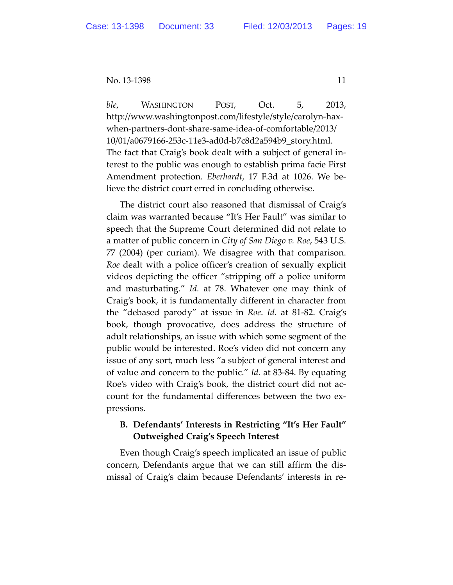*ble*, WASHINGTON POST, Oct. 5, 2013, http://www.washingtonpost.com/lifestyle/style/carolyn‐hax‐ when‐partners‐dont‐share‐same‐idea‐of‐comfortable/2013/ 10/01/a0679166‐253c‐11e3‐ad0d‐b7c8d2a594b9\_story.html. The fact that Craig's book dealt with a subject of general in‐ terest to the public was enough to establish prima facie First Amendment protection. *Eberhardt*, 17 F.3d at 1026. We be‐ lieve the district court erred in concluding otherwise.

The district court also reasoned that dismissal of Craig's claim was warranted because "It's Her Fault" was similar to speech that the Supreme Court determined did not relate to a matter of public concern in *City of San Diego v. Roe*, 543 U.S. 77 (2004) (per curiam). We disagree with that comparison. *Roe* dealt with a police officer's creation of sexually explicit videos depicting the officer "stripping off a police uniform and masturbating." *Id.* at 78. Whatever one may think of Craig's book, it is fundamentally different in character from the "debased parody" at issue in *Roe*. *Id.* at 81‐82. Craig's book, though provocative, does address the structure of adult relationships, an issue with which some segment of the public would be interested. Roe's video did not concern any issue of any sort, much less "a subject of general interest and of value and concern to the public." *Id.* at 83‐84. By equating Roe's video with Craig's book, the district court did not ac‐ count for the fundamental differences between the two ex‐ pressions.

### **B. Defendants' Interests in Restricting "It's Her Fault" Outweighed Craig's Speech Interest**

Even though Craig's speech implicated an issue of public concern, Defendants argue that we can still affirm the dis‐ missal of Craig's claim because Defendants' interests in re‐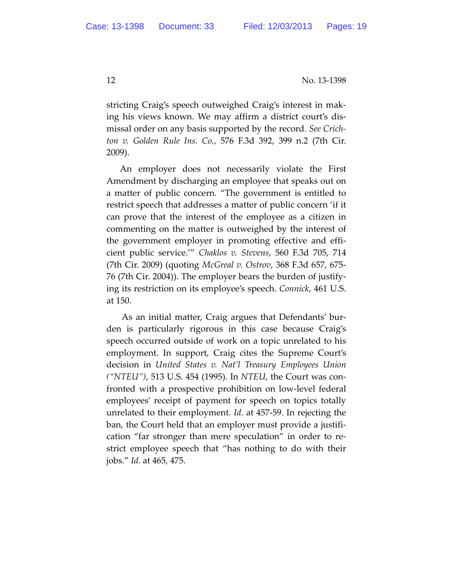stricting Craig's speech outweighed Craig's interest in mak‐ ing his views known. We may affirm a district court's dis‐ missal order on any basis supported by the record. *See Crich‐ ton v. Golden Rule Ins. Co.*, 576 F.3d 392, 399 n.2 (7th Cir. 2009).

An employer does not necessarily violate the First Amendment by discharging an employee that speaks out on a matter of public concern. "The government is entitled to restrict speech that addresses a matter of public concern 'if it can prove that the interest of the employee as a citizen in commenting on the matter is outweighed by the interest of the government employer in promoting effective and effi‐ cient public service.'" *Chaklos v. Stevens*, 560 F.3d 705, 714 (7th Cir. 2009) (quoting *McGreal v. Ostrov*, 368 F.3d 657, 675‐ 76 (7th Cir. 2004)). The employer bears the burden of justify‐ ing its restriction on its employee's speech. *Connick*, 461 U.S. at 150.

As an initial matter, Craig argues that Defendants' bur‐ den is particularly rigorous in this case because Craig's speech occurred outside of work on a topic unrelated to his employment. In support, Craig cites the Supreme Court's decision in *United States v. Nat'l Treasury Employees Union ("NTEU")*, 513 U.S. 454 (1995). In *NTEU*, the Court was con‐ fronted with a prospective prohibition on low‐level federal employees' receipt of payment for speech on topics totally unrelated to their employment. *Id.* at 457‐59. In rejecting the ban, the Court held that an employer must provide a justifi‐ cation "far stronger than mere speculation" in order to re‐ strict employee speech that "has nothing to do with their jobs." *Id.* at 465, 475.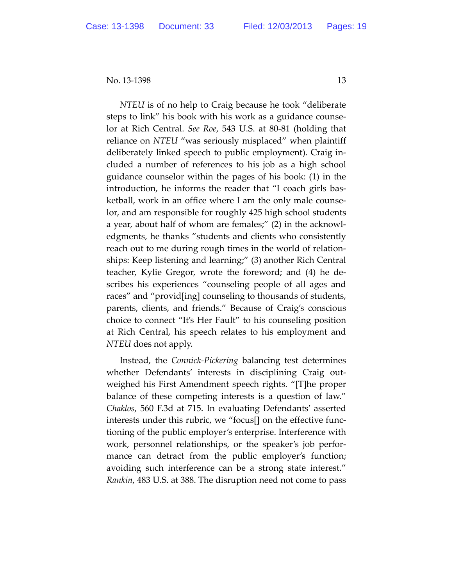*NTEU* is of no help to Craig because he took "deliberate steps to link" his book with his work as a guidance counse‐ lor at Rich Central. *See Roe*, 543 U.S. at 80‐81 (holding that reliance on *NTEU* "was seriously misplaced" when plaintiff deliberately linked speech to public employment). Craig in‐ cluded a number of references to his job as a high school guidance counselor within the pages of his book: (1) in the introduction, he informs the reader that "I coach girls bas‐ ketball, work in an office where I am the only male counse‐ lor, and am responsible for roughly 425 high school students a year, about half of whom are females;" (2) in the acknowl‐ edgments, he thanks "students and clients who consistently reach out to me during rough times in the world of relation‐ ships: Keep listening and learning;" (3) another Rich Central teacher, Kylie Gregor, wrote the foreword; and (4) he de‐ scribes his experiences "counseling people of all ages and races" and "provid[ing] counseling to thousands of students, parents, clients, and friends." Because of Craig's conscious choice to connect "It's Her Fault" to his counseling position at Rich Central, his speech relates to his employment and *NTEU* does not apply.

Instead, the *Connick‐Pickering* balancing test determines whether Defendants' interests in disciplining Craig out‐ weighed his First Amendment speech rights. "[T]he proper balance of these competing interests is a question of law." *Chaklos*, 560 F.3d at 715. In evaluating Defendants' asserted interests under this rubric, we "focus[] on the effective func‐ tioning of the public employer's enterprise. Interference with work, personnel relationships, or the speaker's job perfor‐ mance can detract from the public employer's function; avoiding such interference can be a strong state interest." *Rankin*, 483 U.S. at 388. The disruption need not come to pass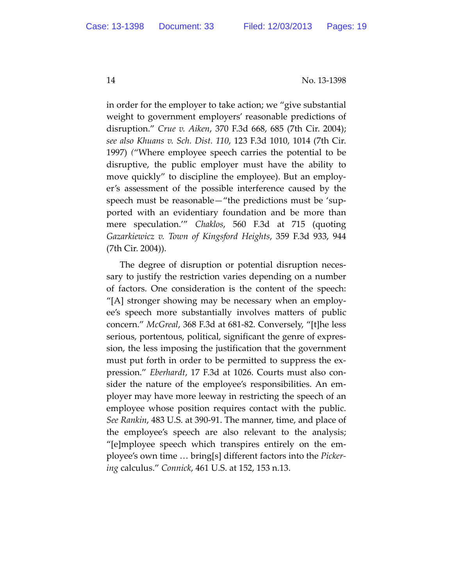in order for the employer to take action; we "give substantial weight to government employers' reasonable predictions of disruption." *Crue v. Aiken*, 370 F.3d 668, 685 (7th Cir. 2004); *see also Khuans v. Sch. Dist. 110*, 123 F.3d 1010, 1014 (7th Cir. 1997) *(*"Where employee speech carries the potential to be disruptive, the public employer must have the ability to move quickly" to discipline the employee). But an employer's assessment of the possible interference caused by the speech must be reasonable—"the predictions must be 'sup‐ ported with an evidentiary foundation and be more than mere speculation.'" *Chaklos*, 560 F.3d at 715 (quoting *Gazarkiewicz v. Town of Kingsford Heights*, 359 F.3d 933, 944 (7th Cir. 2004)).

The degree of disruption or potential disruption neces‐ sary to justify the restriction varies depending on a number of factors. One consideration is the content of the speech: "[A] stronger showing may be necessary when an employ‐ ee's speech more substantially involves matters of public concern." *McGreal*, 368 F.3d at 681‐82. Conversely, "[t]he less serious, portentous, political, significant the genre of expres‐ sion, the less imposing the justification that the government must put forth in order to be permitted to suppress the expression." *Eberhardt*, 17 F.3d at 1026. Courts must also con‐ sider the nature of the employee's responsibilities. An em‐ ployer may have more leeway in restricting the speech of an employee whose position requires contact with the public. *See Rankin*, 483 U.S. at 390‐91. The manner, time, and place of the employee's speech are also relevant to the analysis; "[e]mployee speech which transpires entirely on the em‐ ployee's own time … bring[s] different factors into the *Picker‐ ing* calculus." *Connick*, 461 U.S. at 152, 153 n.13.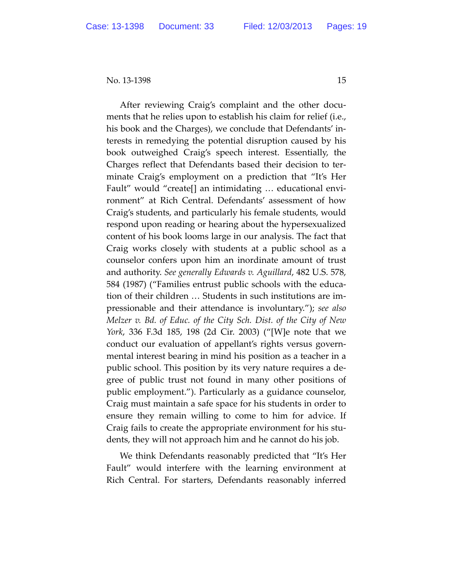After reviewing Craig's complaint and the other docu‐ ments that he relies upon to establish his claim for relief (i.e., his book and the Charges), we conclude that Defendants' in‐ terests in remedying the potential disruption caused by his book outweighed Craig's speech interest. Essentially, the Charges reflect that Defendants based their decision to ter‐ minate Craig's employment on a prediction that "It's Her Fault" would "create[] an intimidating … educational envi‐ ronment" at Rich Central. Defendants' assessment of how Craig's students, and particularly his female students, would respond upon reading or hearing about the hypersexualized content of his book looms large in our analysis. The fact that Craig works closely with students at a public school as a counselor confers upon him an inordinate amount of trust and authority. *See generally Edwards v. Aguillard*, 482 U.S. 578, 584 (1987) ("Families entrust public schools with the educa‐ tion of their children … Students in such institutions are im‐ pressionable and their attendance is involuntary."); *see also Melzer v. Bd. of Educ. of the City Sch. Dist. of the City of New York*, 336 F.3d 185, 198 (2d Cir. 2003) ("[W]e note that we conduct our evaluation of appellant's rights versus govern‐ mental interest bearing in mind his position as a teacher in a public school. This position by its very nature requires a de‐ gree of public trust not found in many other positions of public employment."). Particularly as a guidance counselor, Craig must maintain a safe space for his students in order to ensure they remain willing to come to him for advice. If Craig fails to create the appropriate environment for his stu‐ dents, they will not approach him and he cannot do his job.

We think Defendants reasonably predicted that "It's Her Fault" would interfere with the learning environment at Rich Central. For starters, Defendants reasonably inferred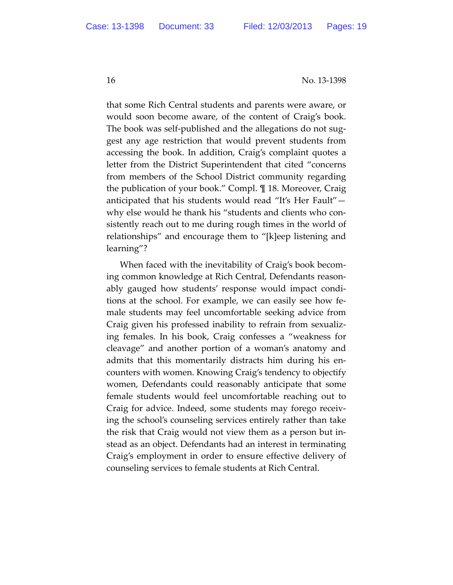that some Rich Central students and parents were aware, or would soon become aware, of the content of Craig's book. The book was self-published and the allegations do not suggest any age restriction that would prevent students from accessing the book. In addition, Craig's complaint quotes a letter from the District Superintendent that cited "concerns from members of the School District community regarding the publication of your book." Compl. ¶ 18. Moreover, Craig anticipated that his students would read "It's Her Fault" why else would he thank his "students and clients who con‐ sistently reach out to me during rough times in the world of relationships" and encourage them to "[k]eep listening and learning"?

When faced with the inevitability of Craig's book becom‐ ing common knowledge at Rich Central, Defendants reason‐ ably gauged how students' response would impact condi‐ tions at the school. For example, we can easily see how fe‐ male students may feel uncomfortable seeking advice from Craig given his professed inability to refrain from sexualiz‐ ing females. In his book, Craig confesses a "weakness for cleavage" and another portion of a woman's anatomy and admits that this momentarily distracts him during his en‐ counters with women. Knowing Craig's tendency to objectify women, Defendants could reasonably anticipate that some female students would feel uncomfortable reaching out to Craig for advice. Indeed, some students may forego receiv‐ ing the school's counseling services entirely rather than take the risk that Craig would not view them as a person but in‐ stead as an object. Defendants had an interest in terminating Craig's employment in order to ensure effective delivery of counseling services to female students at Rich Central.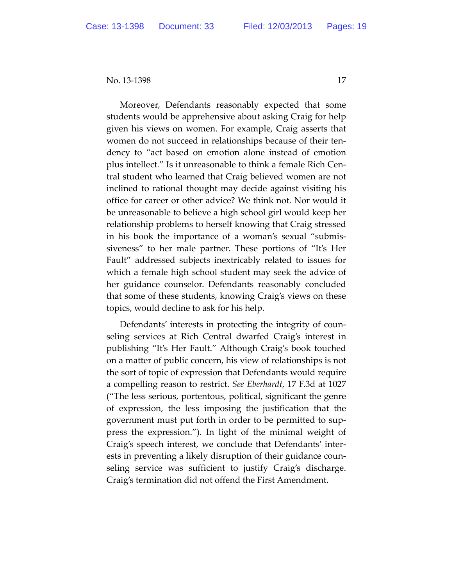Moreover, Defendants reasonably expected that some students would be apprehensive about asking Craig for help given his views on women. For example, Craig asserts that women do not succeed in relationships because of their ten‐ dency to "act based on emotion alone instead of emotion plus intellect." Is it unreasonable to think a female Rich Cen‐ tral student who learned that Craig believed women are not inclined to rational thought may decide against visiting his office for career or other advice? We think not. Nor would it be unreasonable to believe a high school girl would keep her relationship problems to herself knowing that Craig stressed in his book the importance of a woman's sexual "submis‐ siveness" to her male partner. These portions of "It's Her Fault" addressed subjects inextricably related to issues for which a female high school student may seek the advice of her guidance counselor. Defendants reasonably concluded that some of these students, knowing Craig's views on these topics, would decline to ask for his help.

Defendants' interests in protecting the integrity of coun‐ seling services at Rich Central dwarfed Craig's interest in publishing "It's Her Fault." Although Craig's book touched on a matter of public concern, his view of relationships is not the sort of topic of expression that Defendants would require a compelling reason to restrict. *See Eberhardt*, 17 F.3d at 1027 ("The less serious, portentous, political, significant the genre of expression, the less imposing the justification that the government must put forth in order to be permitted to sup‐ press the expression."). In light of the minimal weight of Craig's speech interest, we conclude that Defendants' inter‐ ests in preventing a likely disruption of their guidance coun‐ seling service was sufficient to justify Craig's discharge. Craig's termination did not offend the First Amendment.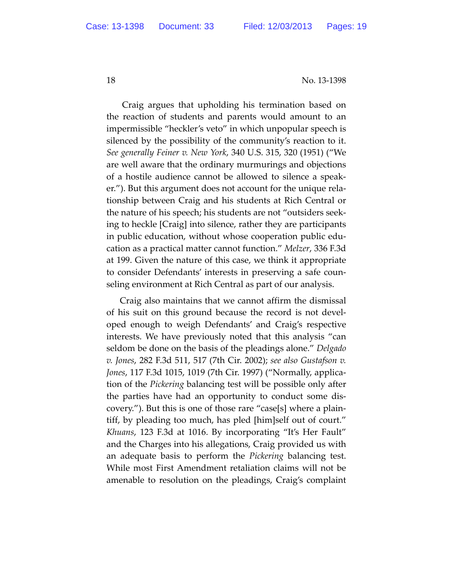Craig argues that upholding his termination based on the reaction of students and parents would amount to an impermissible "heckler's veto" in which unpopular speech is silenced by the possibility of the community's reaction to it. *See generally Feiner v. New York*, 340 U.S. 315, 320 (1951) ("We are well aware that the ordinary murmurings and objections of a hostile audience cannot be allowed to silence a speak‐ er."). But this argument does not account for the unique rela‐ tionship between Craig and his students at Rich Central or the nature of his speech; his students are not "outsiders seek‐ ing to heckle [Craig] into silence, rather they are participants in public education, without whose cooperation public edu‐ cation as a practical matter cannot function." *Melzer*, 336 F.3d at 199. Given the nature of this case, we think it appropriate to consider Defendants' interests in preserving a safe coun‐ seling environment at Rich Central as part of our analysis.

Craig also maintains that we cannot affirm the dismissal of his suit on this ground because the record is not devel‐ oped enough to weigh Defendants' and Craig's respective interests. We have previously noted that this analysis "can seldom be done on the basis of the pleadings alone." *Delgado v. Jones*, 282 F.3d 511, 517 (7th Cir. 2002); *see also Gustafson v. Jones*, 117 F.3d 1015, 1019 (7th Cir. 1997) ("Normally, applica‐ tion of the *Pickering* balancing test will be possible only after the parties have had an opportunity to conduct some dis‐ covery."). But this is one of those rare "case[s] where a plain‐ tiff, by pleading too much, has pled [him]self out of court." *Khuans*, 123 F.3d at 1016. By incorporating "It's Her Fault" and the Charges into his allegations, Craig provided us with an adequate basis to perform the *Pickering* balancing test. While most First Amendment retaliation claims will not be amenable to resolution on the pleadings, Craig's complaint